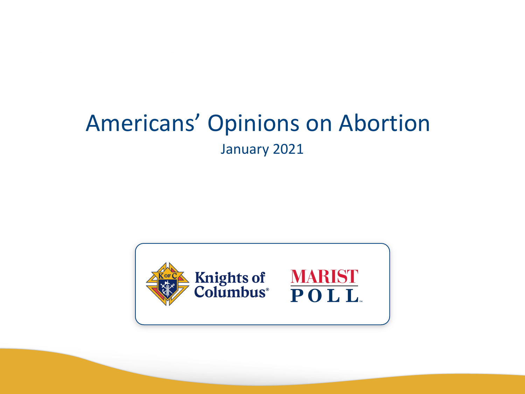# Americans' Opinions on Abortion January 2021

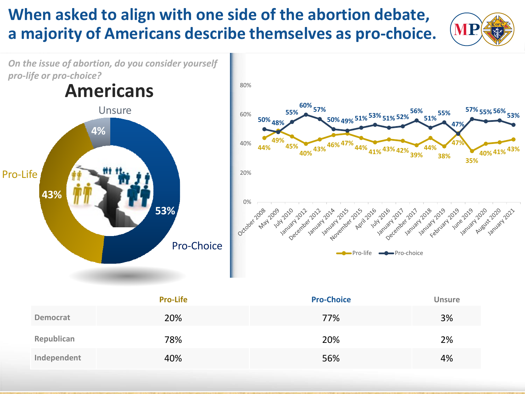### **When asked to align with one side of the abortion debate, a majority of Americans describe themselves as pro-choice.**





|                 | <b>Pro-Life</b> | <b>Pro-Choice</b> | <b>Unsure</b> |
|-----------------|-----------------|-------------------|---------------|
| <b>Democrat</b> | 20%             | 77%               | 3%            |
| Republican      | 78%             | 20%               | 2%            |
| Independent     | 40%             | 56%               | 4%            |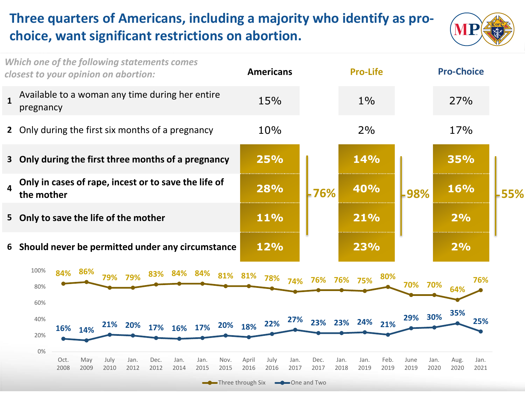#### **Three quarters of Americans, including a majority who identify as prochoice, want significant restrictions on abortion.**



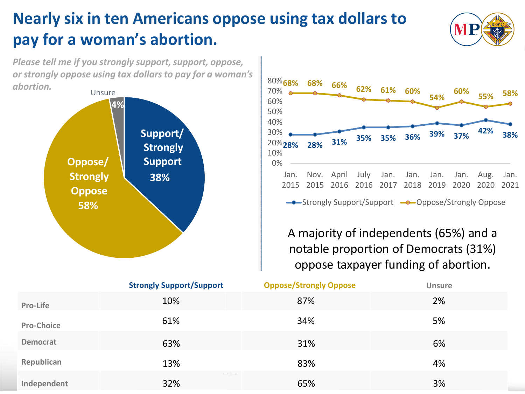# **Nearly six in ten Americans oppose using tax dollars to pay for a woman's abortion.**







#### A majority of independents (65%) and a notable proportion of Democrats (31%) oppose taxpayer funding of abortion.

|                   | <b>Strongly Support/Support</b> | <b>Oppose/Strongly Oppose</b> | <b>Unsure</b> |
|-------------------|---------------------------------|-------------------------------|---------------|
| Pro-Life          | 10%                             | 87%                           | 2%            |
| <b>Pro-Choice</b> | 61%                             | 34%                           | 5%            |
| <b>Democrat</b>   | 63%                             | 31%                           | 6%            |
| Republican        | 13%                             | 83%                           | 4%            |
| Independent       | 32%                             | 65%                           | 3%            |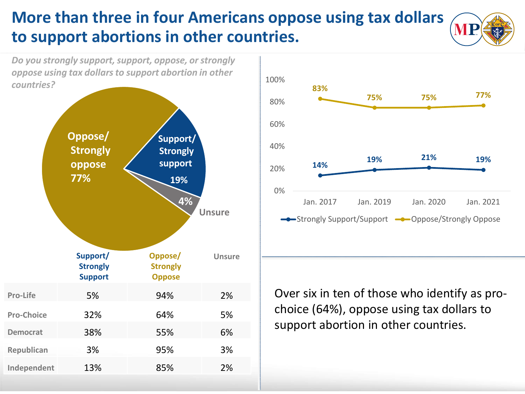## **More than three in four Americans oppose using tax dollars to support abortions in other countries.**





VL

Over six in ten of those who identify as prochoice (64%), oppose using tax dollars to support abortion in other countries.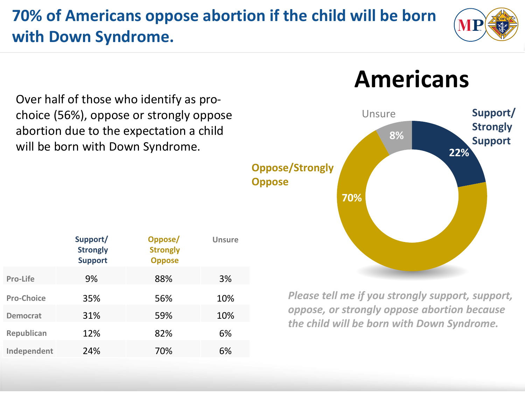# **70% of Americans oppose abortion if the child will be born with Down Syndrome.**



Over half of those who identify as prochoice (56%), oppose or strongly oppose abortion due to the expectation a child will be born with Down Syndrome.



**Americans**

*Please tell me if you strongly support, support, oppose, or strongly oppose abortion because the child will be born with Down Syndrome.*

|                   | Support/<br><b>Strongly</b><br><b>Support</b> | Oppose/<br><b>Strongly</b><br><b>Oppose</b> | <b>Unsure</b> |
|-------------------|-----------------------------------------------|---------------------------------------------|---------------|
| Pro-Life          | 9%                                            | 88%                                         | 3%            |
| <b>Pro-Choice</b> | 35%                                           | 56%                                         | 10%           |
| <b>Democrat</b>   | 31%                                           | 59%                                         | 10%           |
| Republican        | 12%                                           | 82%                                         | 6%            |
| Independent       | 24%                                           | 70%                                         | 6%            |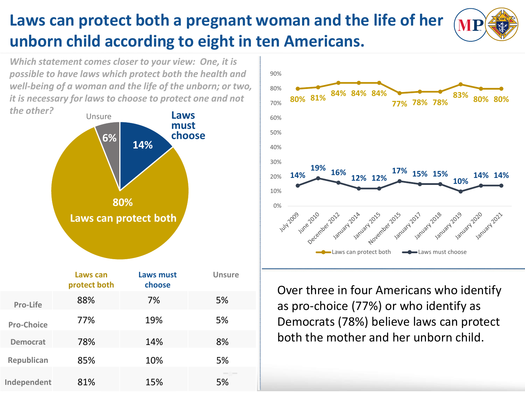# **Laws can protect both a pregnant woman and the life of her unborn child according to eight in ten Americans.**

*Which statement comes closer to your view: One, it is possible to have laws which protect both the health and well-being of a woman and the life of the unborn; or two, it is necessary for laws to choose to protect one and not the other?*





Over three in four Americans who identify as pro-choice (77%) or who identify as Democrats (78%) believe laws can protect both the mother and her unborn child.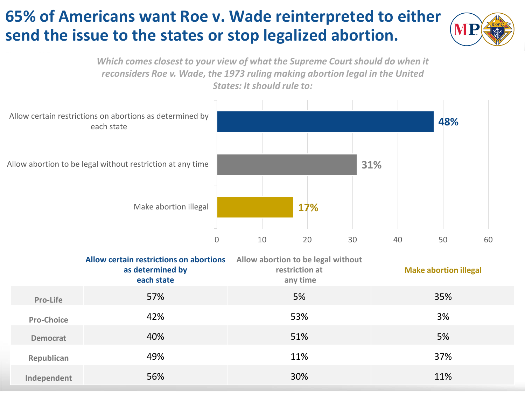## **65% of Americans want Roe v. Wade reinterpreted to either send the issue to the states or stop legalized abortion.**



**Republican** 11% 37%

**Independent** 56% 30% 11%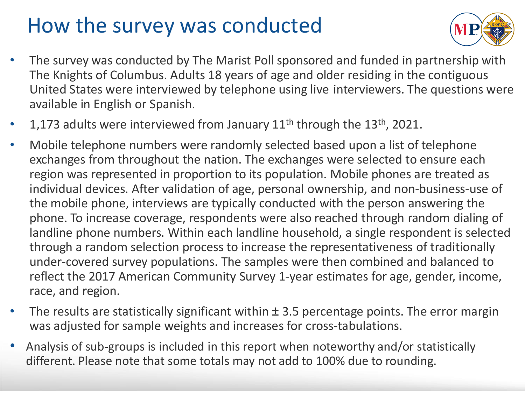# How the survey was conducted



- The survey was conducted by The Marist Poll sponsored and funded in partnership with The Knights of Columbus. Adults 18 years of age and older residing in the contiguous United States were interviewed by telephone using live interviewers. The questions were available in English or Spanish.
- 1,173 adults were interviewed from January  $11<sup>th</sup>$  through the  $13<sup>th</sup>$ , 2021.
- Mobile telephone numbers were randomly selected based upon a list of telephone exchanges from throughout the nation. The exchanges were selected to ensure each region was represented in proportion to its population. Mobile phones are treated as individual devices. After validation of age, personal ownership, and non-business-use of the mobile phone, interviews are typically conducted with the person answering the phone. To increase coverage, respondents were also reached through random dialing of landline phone numbers. Within each landline household, a single respondent is selected through a random selection process to increase the representativeness of traditionally under-covered survey populations. The samples were then combined and balanced to reflect the 2017 American Community Survey 1-year estimates for age, gender, income, race, and region.
- The results are statistically significant within  $\pm$  3.5 percentage points. The error margin was adjusted for sample weights and increases for cross-tabulations.
- Analysis of sub-groups is included in this report when noteworthy and/or statistically different. Please note that some totals may not add to 100% due to rounding.